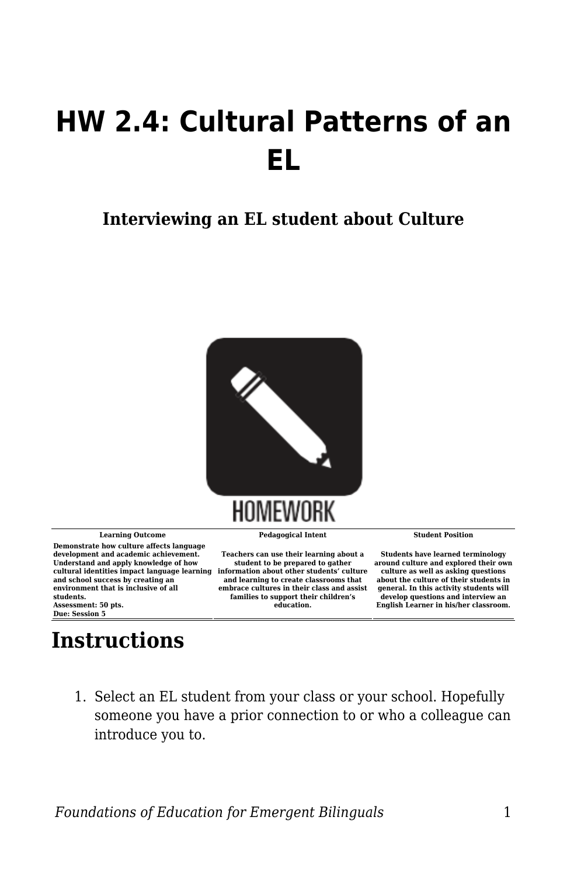## **HW 2.4: Cultural Patterns of an EL**

## **Interviewing an EL student about Culture**



**Learning Outcome Pedagogical Intent Student Position Demonstrate how culture affects language development and academic achievement. Understand and apply knowledge of how cultural identities impact language learning information about other students' culture and school success by creating an environment that is inclusive of all students. Assessment: 50 pts.**

**Due: Session 5**

## **Instructions**

**Teachers can use their learning about a student to be prepared to gather and learning to create classrooms that embrace cultures in their class and assist families to support their children's education.**

**Students have learned terminology around culture and explored their own culture as well as asking questions about the culture of their students in general. In this activity students will develop questions and interview an English Learner in his/her classroom.**

1. Select an EL student from your class or your school. Hopefully someone you have a prior connection to or who a colleague can introduce you to.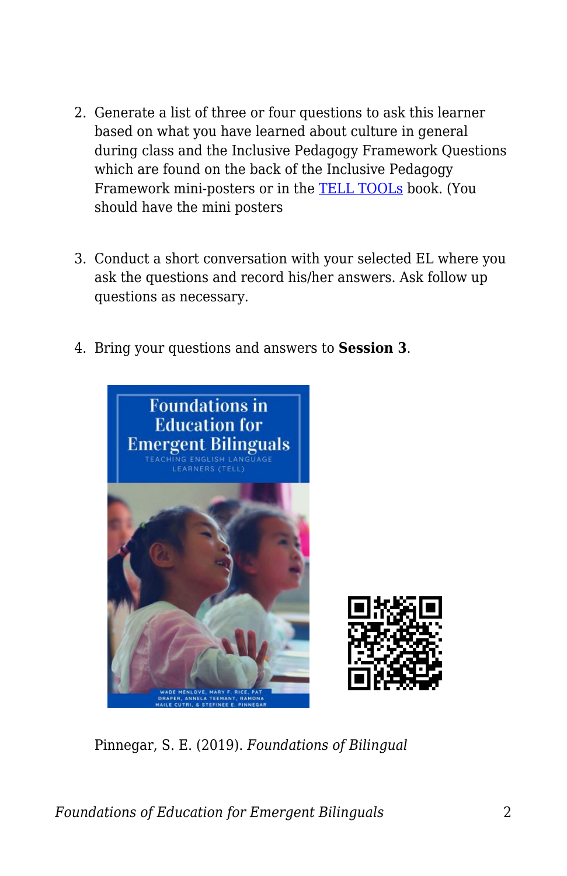- 2. Generate a list of three or four questions to ask this learner based on what you have learned about culture in general during class and the Inclusive Pedagogy Framework Questions which are found on the back of the Inclusive Pedagogy Framework mini-posters or in the [TELL TOOLs](https://edtechbooks.org/ell_tools) book. (You should have the mini posters
- 3. Conduct a short conversation with your selected EL where you ask the questions and record his/her answers. Ask follow up questions as necessary.
- 4. Bring your questions and answers to **Session 3**.



Pinnegar, S. E. (2019). *Foundations of Bilingual*

*Foundations of Education for Emergent Bilinguals* 2